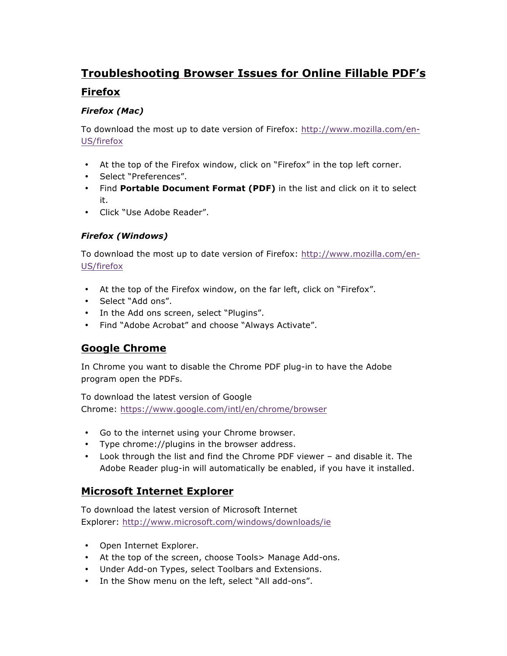# **Troubleshooting Browser Issues for Online Fillable PDF's**

## **Firefox**

#### *Firefox (Mac)*

To download the most up to date version of Firefox: http://www.mozilla.com/en-US/firefox

- At the top of the Firefox window, click on "Firefox" in the top left corner.
- Select "Preferences".
- Find **Portable Document Format (PDF)** in the list and click on it to select it.
- Click "Use Adobe Reader".

### *Firefox (Windows)*

To download the most up to date version of Firefox: http://www.mozilla.com/en-US/firefox

- At the top of the Firefox window, on the far left, click on "Firefox".
- Select "Add ons".
- In the Add ons screen, select "Plugins".
- Find "Adobe Acrobat" and choose "Always Activate".

# **Google Chrome**

In Chrome you want to disable the Chrome PDF plug-in to have the Adobe program open the PDFs.

To download the latest version of Google Chrome: https://www.google.com/intl/en/chrome/browser

- Go to the internet using your Chrome browser.
- Type chrome://plugins in the browser address.
- Look through the list and find the Chrome PDF viewer and disable it. The Adobe Reader plug-in will automatically be enabled, if you have it installed.

# **Microsoft Internet Explorer**

To download the latest version of Microsoft Internet Explorer: http://www.microsoft.com/windows/downloads/ie

- Open Internet Explorer.
- At the top of the screen, choose Tools> Manage Add-ons.
- Under Add-on Types, select Toolbars and Extensions.
- In the Show menu on the left, select "All add-ons".